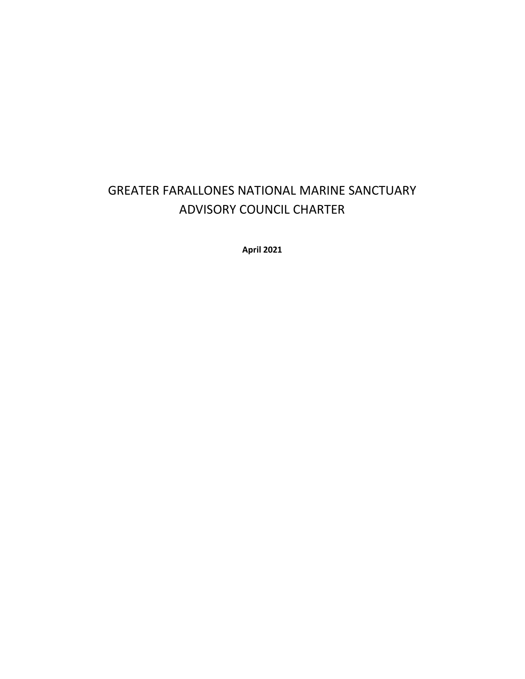# GREATER FARALLONES NATIONAL MARINE SANCTUARY ADVISORY COUNCIL CHARTER

**April 2021**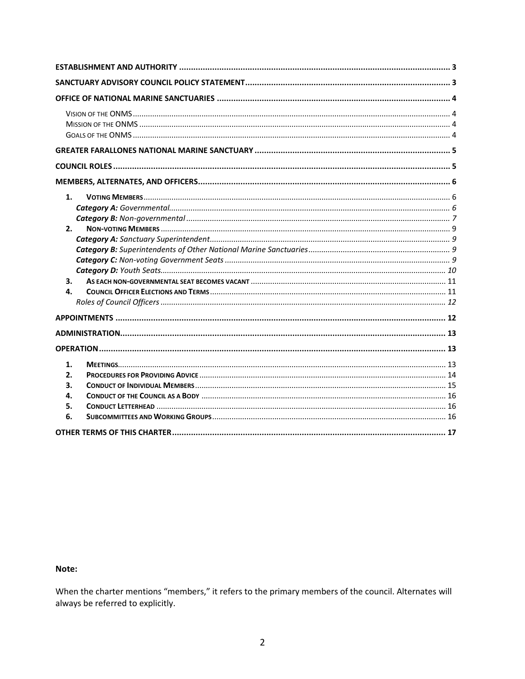| 1.<br>2.<br>3.<br>4.             |
|----------------------------------|
|                                  |
|                                  |
| 1.<br>2.<br>3.<br>4.<br>5.<br>6. |
|                                  |

#### Note:

When the charter mentions "members," it refers to the primary members of the council. Alternates will always be referred to explicitly.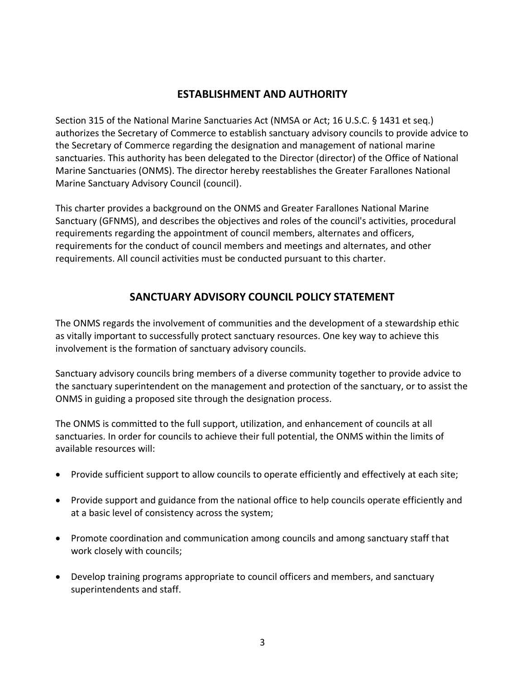## **ESTABLISHMENT AND AUTHORITY**

<span id="page-2-0"></span>Section 315 of the National Marine Sanctuaries Act (NMSA or Act; 16 U.S.C. § 1431 et seq.) authorizes the Secretary of Commerce to establish sanctuary advisory councils to provide advice to the Secretary of Commerce regarding the designation and management of national marine sanctuaries. This authority has been delegated to the Director (director) of the Office of National Marine Sanctuaries (ONMS). The director hereby reestablishes the Greater Farallones National Marine Sanctuary Advisory Council (council).

This charter provides a background on the ONMS and Greater Farallones National Marine Sanctuary (GFNMS), and describes the objectives and roles of the council's activities, procedural requirements regarding the appointment of council members, alternates and officers, requirements for the conduct of council members and meetings and alternates, and other requirements. All council activities must be conducted pursuant to this charter.

# **SANCTUARY ADVISORY COUNCIL POLICY STATEMENT**

<span id="page-2-1"></span>The ONMS regards the involvement of communities and the development of a stewardship ethic as vitally important to successfully protect sanctuary resources. One key way to achieve this involvement is the formation of sanctuary advisory councils.

Sanctuary advisory councils bring members of a diverse community together to provide advice to the sanctuary superintendent on the management and protection of the sanctuary, or to assist the ONMS in guiding a proposed site through the designation process.

The ONMS is committed to the full support, utilization, and enhancement of councils at all sanctuaries. In order for councils to achieve their full potential, the ONMS within the limits of available resources will:

- Provide sufficient support to allow councils to operate efficiently and effectively at each site;
- Provide support and guidance from the national office to help councils operate efficiently and at a basic level of consistency across the system;
- Promote coordination and communication among councils and among sanctuary staff that work closely with councils;
- Develop training programs appropriate to council officers and members, and sanctuary superintendents and staff.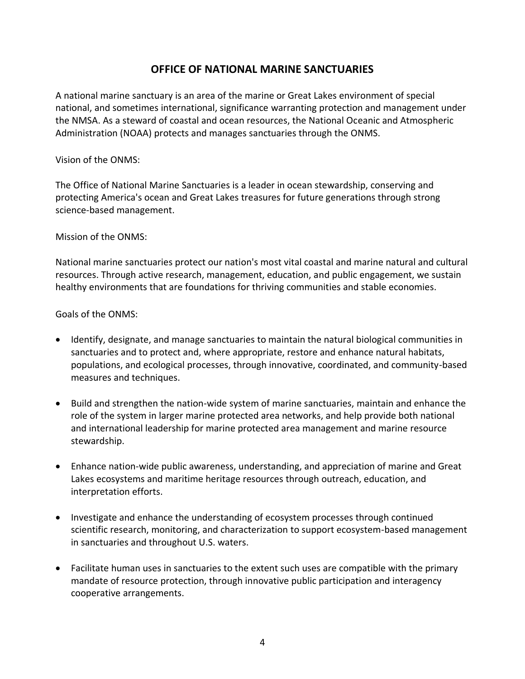# **OFFICE OF NATIONAL MARINE SANCTUARIES**

<span id="page-3-0"></span>A national marine sanctuary is an area of the marine or Great Lakes environment of special national, and sometimes international, significance warranting protection and management under the NMSA. As a steward of coastal and ocean resources, the National Oceanic and Atmospheric Administration (NOAA) protects and manages sanctuaries through the ONMS.

#### <span id="page-3-1"></span>Vision of the ONMS:

The Office of National Marine Sanctuaries is a leader in ocean stewardship, conserving and protecting America's ocean and Great Lakes treasures for future generations through strong science-based management.

<span id="page-3-2"></span>Mission of the ONMS:

National marine sanctuaries protect our nation's most vital coastal and marine natural and cultural resources. Through active research, management, education, and public engagement, we sustain healthy environments that are foundations for thriving communities and stable economies.

<span id="page-3-3"></span>Goals of the ONMS:

- Identify, designate, and manage sanctuaries to maintain the natural biological communities in sanctuaries and to protect and, where appropriate, restore and enhance natural habitats, populations, and ecological processes, through innovative, coordinated, and community-based measures and techniques.
- Build and strengthen the nation-wide system of marine sanctuaries, maintain and enhance the role of the system in larger marine protected area networks, and help provide both national and international leadership for marine protected area management and marine resource stewardship.
- Enhance nation-wide public awareness, understanding, and appreciation of marine and Great Lakes ecosystems and maritime heritage resources through outreach, education, and interpretation efforts.
- Investigate and enhance the understanding of ecosystem processes through continued scientific research, monitoring, and characterization to support ecosystem-based management in sanctuaries and throughout U.S. waters.
- Facilitate human uses in sanctuaries to the extent such uses are compatible with the primary mandate of resource protection, through innovative public participation and interagency cooperative arrangements.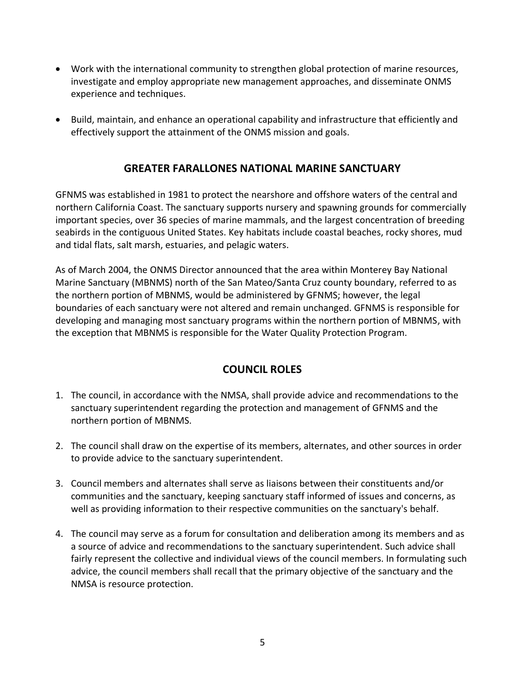- Work with the international community to strengthen global protection of marine resources, investigate and employ appropriate new management approaches, and disseminate ONMS experience and techniques.
- <span id="page-4-0"></span>• Build, maintain, and enhance an operational capability and infrastructure that efficiently and effectively support the attainment of the ONMS mission and goals.

# **GREATER FARALLONES NATIONAL MARINE SANCTUARY**

GFNMS was established in 1981 to protect the nearshore and offshore waters of the central and northern California Coast. The sanctuary supports nursery and spawning grounds for commercially important species, over 36 species of marine mammals, and the largest concentration of breeding seabirds in the contiguous United States. Key habitats include coastal beaches, rocky shores, mud and tidal flats, salt marsh, estuaries, and pelagic waters.

As of March 2004, the ONMS Director announced that the area within Monterey Bay National Marine Sanctuary (MBNMS) north of the San Mateo/Santa Cruz county boundary, referred to as the northern portion of MBNMS, would be administered by GFNMS; however, the legal boundaries of each sanctuary were not altered and remain unchanged. GFNMS is responsible for developing and managing most sanctuary programs within the northern portion of MBNMS, with the exception that MBNMS is responsible for the Water Quality Protection Program.

# **COUNCIL ROLES**

- <span id="page-4-1"></span>1. The council, in accordance with the NMSA, shall provide advice and recommendations to the sanctuary superintendent regarding the protection and management of GFNMS and the northern portion of MBNMS.
- 2. The council shall draw on the expertise of its members, alternates, and other sources in order to provide advice to the sanctuary superintendent.
- 3. Council members and alternates shall serve as liaisons between their constituents and/or communities and the sanctuary, keeping sanctuary staff informed of issues and concerns, as well as providing information to their respective communities on the sanctuary's behalf.
- 4. The council may serve as a forum for consultation and deliberation among its members and as a source of advice and recommendations to the sanctuary superintendent. Such advice shall fairly represent the collective and individual views of the council members. In formulating such advice, the council members shall recall that the primary objective of the sanctuary and the NMSA is resource protection.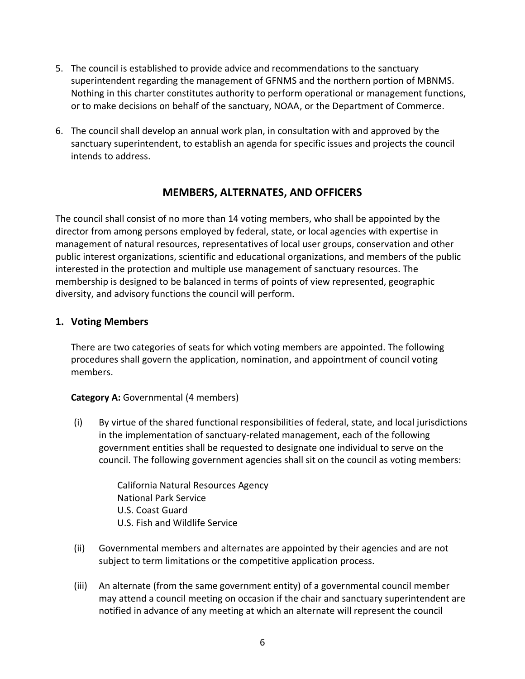- 5. The council is established to provide advice and recommendations to the sanctuary superintendent regarding the management of GFNMS and the northern portion of MBNMS. Nothing in this charter constitutes authority to perform operational or management functions, or to make decisions on behalf of the sanctuary, NOAA, or the Department of Commerce.
- 6. The council shall develop an annual work plan, in consultation with and approved by the sanctuary superintendent, to establish an agenda for specific issues and projects the council intends to address.

## **MEMBERS, ALTERNATES, AND OFFICERS**

<span id="page-5-0"></span>The council shall consist of no more than 14 voting members, who shall be appointed by the director from among persons employed by federal, state, or local agencies with expertise in management of natural resources, representatives of local user groups, conservation and other public interest organizations, scientific and educational organizations, and members of the public interested in the protection and multiple use management of sanctuary resources. The membership is designed to be balanced in terms of points of view represented, geographic diversity, and advisory functions the council will perform.

#### <span id="page-5-1"></span>**1. Voting Members**

There are two categories of seats for which voting members are appointed. The following procedures shall govern the application, nomination, and appointment of council voting members.

#### <span id="page-5-2"></span>**Category A:** Governmental (4 members)

(i) By virtue of the shared functional responsibilities of federal, state, and local jurisdictions in the implementation of sanctuary-related management, each of the following government entities shall be requested to designate one individual to serve on the council. The following government agencies shall sit on the council as voting members:

> California Natural Resources Agency National Park Service U.S. Coast Guard U.S. Fish and Wildlife Service

- (ii) Governmental members and alternates are appointed by their agencies and are not subject to term limitations or the competitive application process.
- (iii) An alternate (from the same government entity) of a governmental council member may attend a council meeting on occasion if the chair and sanctuary superintendent are notified in advance of any meeting at which an alternate will represent the council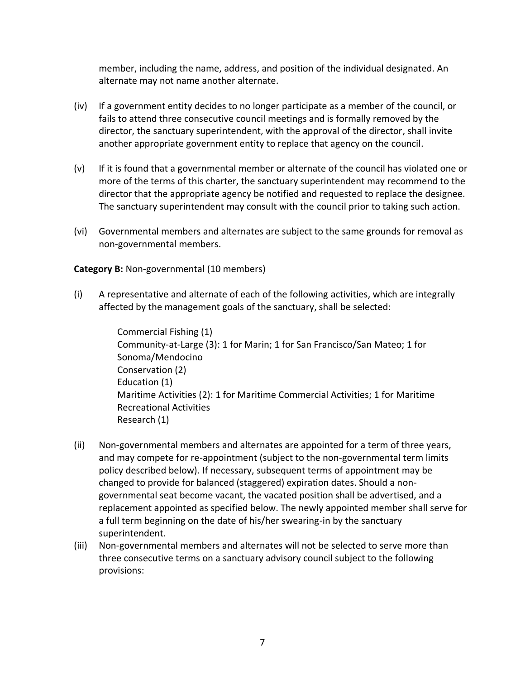member, including the name, address, and position of the individual designated. An alternate may not name another alternate.

- (iv) If a government entity decides to no longer participate as a member of the council, or fails to attend three consecutive council meetings and is formally removed by the director, the sanctuary superintendent, with the approval of the director, shall invite another appropriate government entity to replace that agency on the council.
- (v) If it is found that a governmental member or alternate of the council has violated one or more of the terms of this charter, the sanctuary superintendent may recommend to the director that the appropriate agency be notified and requested to replace the designee. The sanctuary superintendent may consult with the council prior to taking such action.
- (vi) Governmental members and alternates are subject to the same grounds for removal as non-governmental members.

#### <span id="page-6-0"></span>**Category B:** Non-governmental (10 members)

(i) A representative and alternate of each of the following activities, which are integrally affected by the management goals of the sanctuary, shall be selected:

> Commercial Fishing (1) Community-at-Large (3): 1 for Marin; 1 for San Francisco/San Mateo; 1 for Sonoma/Mendocino Conservation (2) Education (1) Maritime Activities (2): 1 for Maritime Commercial Activities; 1 for Maritime Recreational Activities Research (1)

- (ii) Non-governmental members and alternates are appointed for a term of three years, and may compete for re-appointment (subject to the non-governmental term limits policy described below). If necessary, subsequent terms of appointment may be changed to provide for balanced (staggered) expiration dates. Should a nongovernmental seat become vacant, the vacated position shall be advertised, and a replacement appointed as specified below. The newly appointed member shall serve for a full term beginning on the date of his/her swearing-in by the sanctuary superintendent.
- (iii) Non-governmental members and alternates will not be selected to serve more than three consecutive terms on a sanctuary advisory council subject to the following provisions: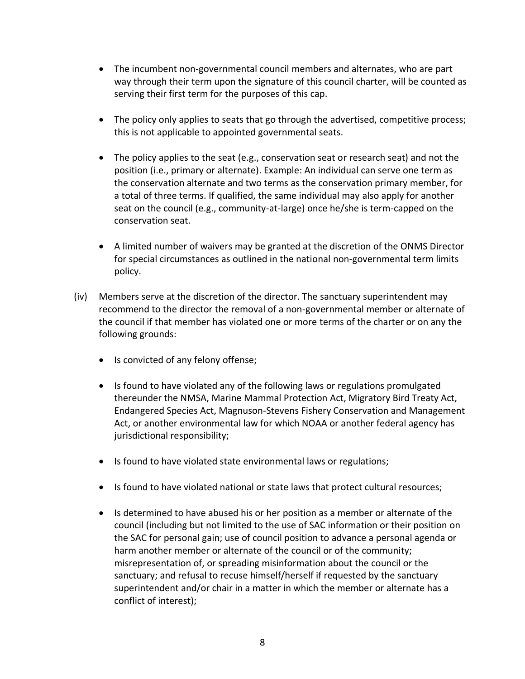- The incumbent non-governmental council members and alternates, who are part way through their term upon the signature of this council charter, will be counted as serving their first term for the purposes of this cap.
- The policy only applies to seats that go through the advertised, competitive process; this is not applicable to appointed governmental seats.
- The policy applies to the seat (e.g., conservation seat or research seat) and not the position (i.e., primary or alternate). Example: An individual can serve one term as the conservation alternate and two terms as the conservation primary member, for a total of three terms. If qualified, the same individual may also apply for another seat on the council (e.g., community-at-large) once he/she is term-capped on the conservation seat.
- A limited number of waivers may be granted at the discretion of the ONMS Director for special circumstances as outlined in the national non-governmental term limits policy.
- (iv) Members serve at the discretion of the director. The sanctuary superintendent may recommend to the director the removal of a non-governmental member or alternate of the council if that member has violated one or more terms of the charter or on any the following grounds:
	- Is convicted of any felony offense;
	- Is found to have violated any of the following laws or regulations promulgated thereunder the NMSA, Marine Mammal Protection Act, Migratory Bird Treaty Act, Endangered Species Act, Magnuson-Stevens Fishery Conservation and Management Act, or another environmental law for which NOAA or another federal agency has jurisdictional responsibility;
	- Is found to have violated state environmental laws or regulations;
	- Is found to have violated national or state laws that protect cultural resources;
	- Is determined to have abused his or her position as a member or alternate of the council (including but not limited to the use of SAC information or their position on the SAC for personal gain; use of council position to advance a personal agenda or harm another member or alternate of the council or of the community; misrepresentation of, or spreading misinformation about the council or the sanctuary; and refusal to recuse himself/herself if requested by the sanctuary superintendent and/or chair in a matter in which the member or alternate has a conflict of interest);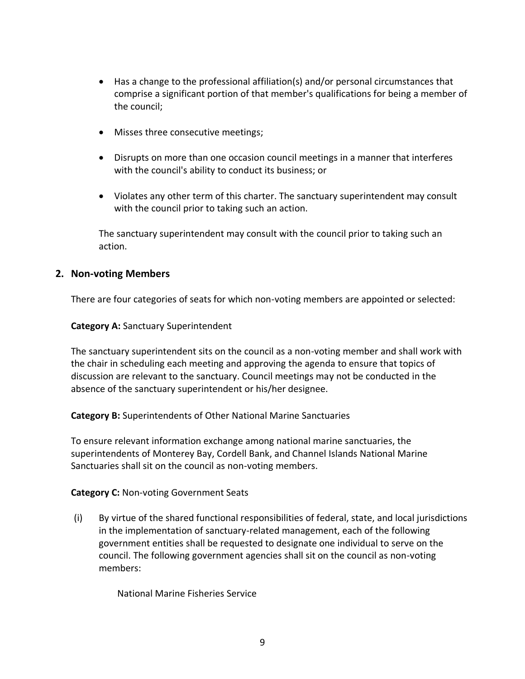- Has a change to the professional affiliation(s) and/or personal circumstances that comprise a significant portion of that member's qualifications for being a member of the council;
- Misses three consecutive meetings;
- Disrupts on more than one occasion council meetings in a manner that interferes with the council's ability to conduct its business; or
- Violates any other term of this charter. The sanctuary superintendent may consult with the council prior to taking such an action.

The sanctuary superintendent may consult with the council prior to taking such an action.

#### <span id="page-8-0"></span>**2. Non-voting Members**

There are four categories of seats for which non-voting members are appointed or selected:

<span id="page-8-1"></span>**Category A:** Sanctuary Superintendent

The sanctuary superintendent sits on the council as a non-voting member and shall work with the chair in scheduling each meeting and approving the agenda to ensure that topics of discussion are relevant to the sanctuary. Council meetings may not be conducted in the absence of the sanctuary superintendent or his/her designee.

<span id="page-8-2"></span>**Category B:** Superintendents of Other National Marine Sanctuaries

To ensure relevant information exchange among national marine sanctuaries, the superintendents of Monterey Bay, Cordell Bank, and Channel Islands National Marine Sanctuaries shall sit on the council as non-voting members.

#### <span id="page-8-3"></span>**Category C:** Non-voting Government Seats

(i) By virtue of the shared functional responsibilities of federal, state, and local jurisdictions in the implementation of sanctuary-related management, each of the following government entities shall be requested to designate one individual to serve on the council. The following government agencies shall sit on the council as non-voting members:

National Marine Fisheries Service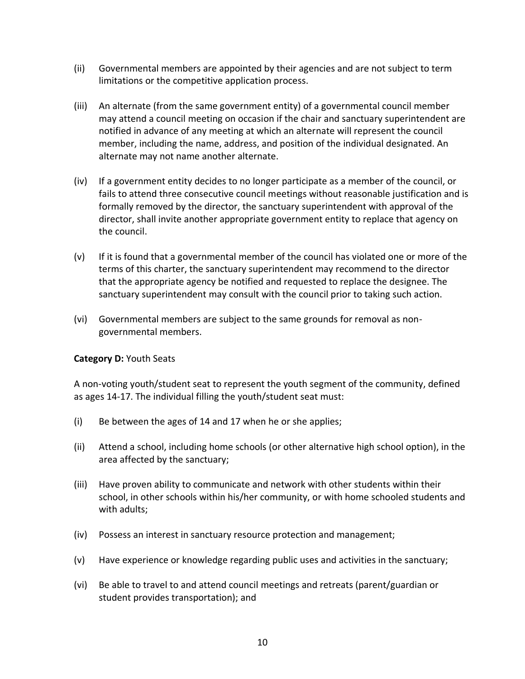- (ii) Governmental members are appointed by their agencies and are not subject to term limitations or the competitive application process.
- (iii) An alternate (from the same government entity) of a governmental council member may attend a council meeting on occasion if the chair and sanctuary superintendent are notified in advance of any meeting at which an alternate will represent the council member, including the name, address, and position of the individual designated. An alternate may not name another alternate.
- (iv) If a government entity decides to no longer participate as a member of the council, or fails to attend three consecutive council meetings without reasonable justification and is formally removed by the director, the sanctuary superintendent with approval of the director, shall invite another appropriate government entity to replace that agency on the council.
- (v) If it is found that a governmental member of the council has violated one or more of the terms of this charter, the sanctuary superintendent may recommend to the director that the appropriate agency be notified and requested to replace the designee. The sanctuary superintendent may consult with the council prior to taking such action.
- (vi) Governmental members are subject to the same grounds for removal as nongovernmental members.

#### <span id="page-9-0"></span>**Category D:** Youth Seats

A non-voting youth/student seat to represent the youth segment of the community, defined as ages 14-17. The individual filling the youth/student seat must:

- (i) Be between the ages of 14 and 17 when he or she applies;
- (ii) Attend a school, including home schools (or other alternative high school option), in the area affected by the sanctuary;
- (iii) Have proven ability to communicate and network with other students within their school, in other schools within his/her community, or with home schooled students and with adults;
- (iv) Possess an interest in sanctuary resource protection and management;
- (v) Have experience or knowledge regarding public uses and activities in the sanctuary;
- (vi) Be able to travel to and attend council meetings and retreats (parent/guardian or student provides transportation); and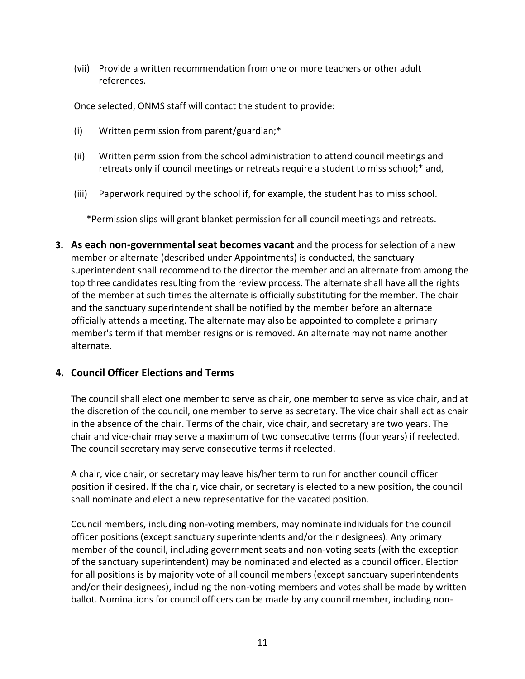(vii) Provide a written recommendation from one or more teachers or other adult references.

Once selected, ONMS staff will contact the student to provide:

- (i) Written permission from parent/guardian;\*
- (ii) Written permission from the school administration to attend council meetings and retreats only if council meetings or retreats require a student to miss school;\* and,
- (iii) Paperwork required by the school if, for example, the student has to miss school.

\*Permission slips will grant blanket permission for all council meetings and retreats.

<span id="page-10-0"></span>**3. As each non-governmental seat becomes vacant** and the process for selection of a new member or alternate (described under Appointments) is conducted, the sanctuary superintendent shall recommend to the director the member and an alternate from among the top three candidates resulting from the review process. The alternate shall have all the rights of the member at such times the alternate is officially substituting for the member. The chair and the sanctuary superintendent shall be notified by the member before an alternate officially attends a meeting. The alternate may also be appointed to complete a primary member's term if that member resigns or is removed. An alternate may not name another alternate.

### <span id="page-10-1"></span>**4. Council Officer Elections and Terms**

The council shall elect one member to serve as chair, one member to serve as vice chair, and at the discretion of the council, one member to serve as secretary. The vice chair shall act as chair in the absence of the chair. Terms of the chair, vice chair, and secretary are two years. The chair and vice-chair may serve a maximum of two consecutive terms (four years) if reelected. The council secretary may serve consecutive terms if reelected.

A chair, vice chair, or secretary may leave his/her term to run for another council officer position if desired. If the chair, vice chair, or secretary is elected to a new position, the council shall nominate and elect a new representative for the vacated position.

Council members, including non-voting members, may nominate individuals for the council officer positions (except sanctuary superintendents and/or their designees). Any primary member of the council, including government seats and non-voting seats (with the exception of the sanctuary superintendent) may be nominated and elected as a council officer. Election for all positions is by majority vote of all council members (except sanctuary superintendents and/or their designees), including the non-voting members and votes shall be made by written ballot. Nominations for council officers can be made by any council member, including non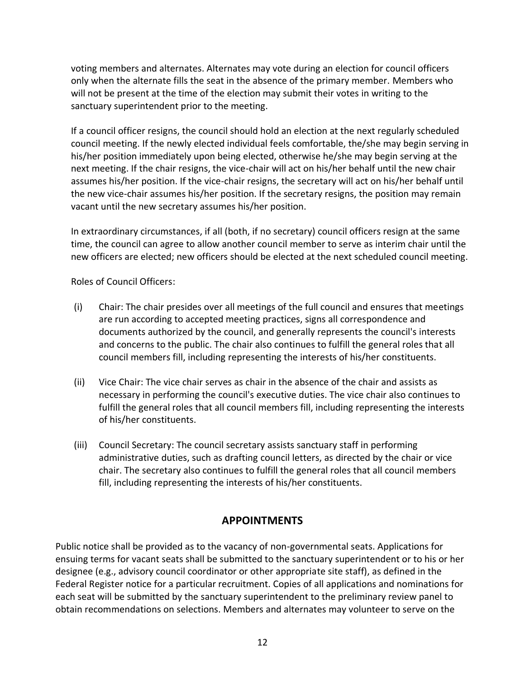voting members and alternates. Alternates may vote during an election for council officers only when the alternate fills the seat in the absence of the primary member. Members who will not be present at the time of the election may submit their votes in writing to the sanctuary superintendent prior to the meeting.

If a council officer resigns, the council should hold an election at the next regularly scheduled council meeting. If the newly elected individual feels comfortable, the/she may begin serving in his/her position immediately upon being elected, otherwise he/she may begin serving at the next meeting. If the chair resigns, the vice-chair will act on his/her behalf until the new chair assumes his/her position. If the vice-chair resigns, the secretary will act on his/her behalf until the new vice-chair assumes his/her position. If the secretary resigns, the position may remain vacant until the new secretary assumes his/her position.

In extraordinary circumstances, if all (both, if no secretary) council officers resign at the same time, the council can agree to allow another council member to serve as interim chair until the new officers are elected; new officers should be elected at the next scheduled council meeting.

<span id="page-11-0"></span>Roles of Council Officers:

- (i) Chair: The chair presides over all meetings of the full council and ensures that meetings are run according to accepted meeting practices, signs all correspondence and documents authorized by the council, and generally represents the council's interests and concerns to the public. The chair also continues to fulfill the general roles that all council members fill, including representing the interests of his/her constituents.
- (ii) Vice Chair: The vice chair serves as chair in the absence of the chair and assists as necessary in performing the council's executive duties. The vice chair also continues to fulfill the general roles that all council members fill, including representing the interests of his/her constituents.
- (iii) Council Secretary: The council secretary assists sanctuary staff in performing administrative duties, such as drafting council letters, as directed by the chair or vice chair. The secretary also continues to fulfill the general roles that all council members fill, including representing the interests of his/her constituents.

# **APPOINTMENTS**

<span id="page-11-1"></span>Public notice shall be provided as to the vacancy of non-governmental seats. Applications for ensuing terms for vacant seats shall be submitted to the sanctuary superintendent or to his or her designee (e.g., advisory council coordinator or other appropriate site staff), as defined in the Federal Register notice for a particular recruitment. Copies of all applications and nominations for each seat will be submitted by the sanctuary superintendent to the preliminary review panel to obtain recommendations on selections. Members and alternates may volunteer to serve on the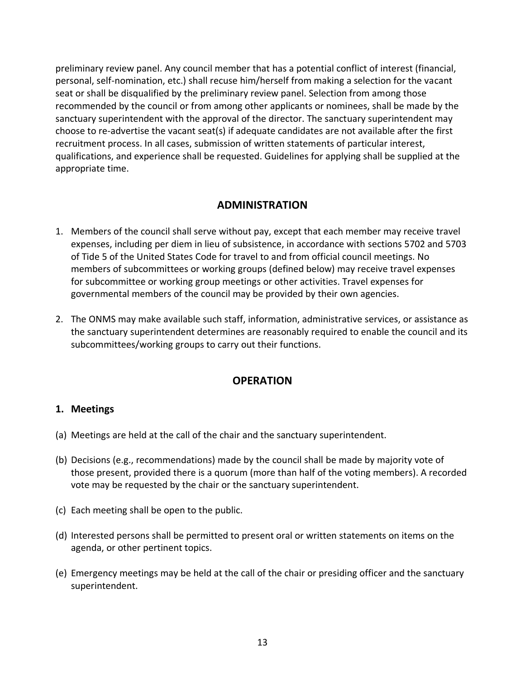preliminary review panel. Any council member that has a potential conflict of interest (financial, personal, self-nomination, etc.) shall recuse him/herself from making a selection for the vacant seat or shall be disqualified by the preliminary review panel. Selection from among those recommended by the council or from among other applicants or nominees, shall be made by the sanctuary superintendent with the approval of the director. The sanctuary superintendent may choose to re-advertise the vacant seat(s) if adequate candidates are not available after the first recruitment process. In all cases, submission of written statements of particular interest, qualifications, and experience shall be requested. Guidelines for applying shall be supplied at the appropriate time.

### **ADMINISTRATION**

- <span id="page-12-0"></span>1. Members of the council shall serve without pay, except that each member may receive travel expenses, including per diem in lieu of subsistence, in accordance with sections 5702 and 5703 of Tide 5 of the United States Code for travel to and from official council meetings. No members of subcommittees or working groups (defined below) may receive travel expenses for subcommittee or working group meetings or other activities. Travel expenses for governmental members of the council may be provided by their own agencies.
- 2. The ONMS may make available such staff, information, administrative services, or assistance as the sanctuary superintendent determines are reasonably required to enable the council and its subcommittees/working groups to carry out their functions.

# **OPERATION**

#### <span id="page-12-2"></span><span id="page-12-1"></span>**1. Meetings**

- (a) Meetings are held at the call of the chair and the sanctuary superintendent.
- (b) Decisions (e.g., recommendations) made by the council shall be made by majority vote of those present, provided there is a quorum (more than half of the voting members). A recorded vote may be requested by the chair or the sanctuary superintendent.
- (c) Each meeting shall be open to the public.
- (d) Interested persons shall be permitted to present oral or written statements on items on the agenda, or other pertinent topics.
- (e) Emergency meetings may be held at the call of the chair or presiding officer and the sanctuary superintendent.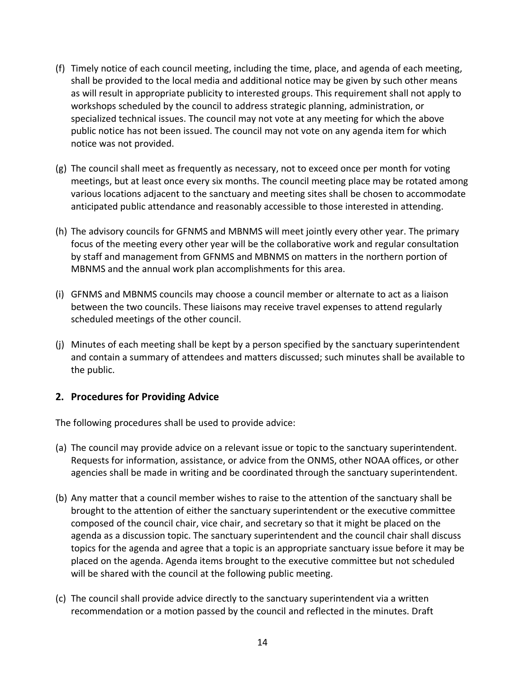- (f) Timely notice of each council meeting, including the time, place, and agenda of each meeting, shall be provided to the local media and additional notice may be given by such other means as will result in appropriate publicity to interested groups. This requirement shall not apply to workshops scheduled by the council to address strategic planning, administration, or specialized technical issues. The council may not vote at any meeting for which the above public notice has not been issued. The council may not vote on any agenda item for which notice was not provided.
- (g) The council shall meet as frequently as necessary, not to exceed once per month for voting meetings, but at least once every six months. The council meeting place may be rotated among various locations adjacent to the sanctuary and meeting sites shall be chosen to accommodate anticipated public attendance and reasonably accessible to those interested in attending.
- (h) The advisory councils for GFNMS and MBNMS will meet jointly every other year. The primary focus of the meeting every other year will be the collaborative work and regular consultation by staff and management from GFNMS and MBNMS on matters in the northern portion of MBNMS and the annual work plan accomplishments for this area.
- (i) GFNMS and MBNMS councils may choose a council member or alternate to act as a liaison between the two councils. These liaisons may receive travel expenses to attend regularly scheduled meetings of the other council.
- (j) Minutes of each meeting shall be kept by a person specified by the sanctuary superintendent and contain a summary of attendees and matters discussed; such minutes shall be available to the public.

### <span id="page-13-0"></span>**2. Procedures for Providing Advice**

The following procedures shall be used to provide advice:

- (a) The council may provide advice on a relevant issue or topic to the sanctuary superintendent. Requests for information, assistance, or advice from the ONMS, other NOAA offices, or other agencies shall be made in writing and be coordinated through the sanctuary superintendent.
- (b) Any matter that a council member wishes to raise to the attention of the sanctuary shall be brought to the attention of either the sanctuary superintendent or the executive committee composed of the council chair, vice chair, and secretary so that it might be placed on the agenda as a discussion topic. The sanctuary superintendent and the council chair shall discuss topics for the agenda and agree that a topic is an appropriate sanctuary issue before it may be placed on the agenda. Agenda items brought to the executive committee but not scheduled will be shared with the council at the following public meeting.
- (c) The council shall provide advice directly to the sanctuary superintendent via a written recommendation or a motion passed by the council and reflected in the minutes. Draft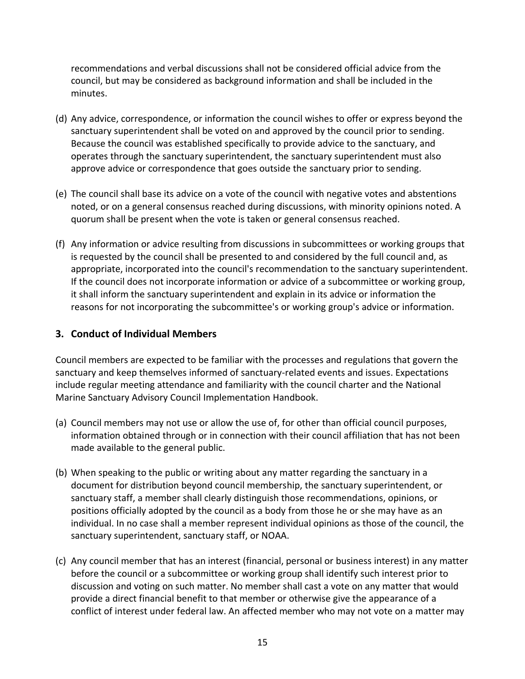recommendations and verbal discussions shall not be considered official advice from the council, but may be considered as background information and shall be included in the minutes.

- (d) Any advice, correspondence, or information the council wishes to offer or express beyond the sanctuary superintendent shall be voted on and approved by the council prior to sending. Because the council was established specifically to provide advice to the sanctuary, and operates through the sanctuary superintendent, the sanctuary superintendent must also approve advice or correspondence that goes outside the sanctuary prior to sending.
- (e) The council shall base its advice on a vote of the council with negative votes and abstentions noted, or on a general consensus reached during discussions, with minority opinions noted. A quorum shall be present when the vote is taken or general consensus reached.
- (f) Any information or advice resulting from discussions in subcommittees or working groups that is requested by the council shall be presented to and considered by the full council and, as appropriate, incorporated into the council's recommendation to the sanctuary superintendent. If the council does not incorporate information or advice of a subcommittee or working group, it shall inform the sanctuary superintendent and explain in its advice or information the reasons for not incorporating the subcommittee's or working group's advice or information.

### <span id="page-14-0"></span>**3. Conduct of Individual Members**

Council members are expected to be familiar with the processes and regulations that govern the sanctuary and keep themselves informed of sanctuary-related events and issues. Expectations include regular meeting attendance and familiarity with the council charter and the National Marine Sanctuary Advisory Council Implementation Handbook.

- (a) Council members may not use or allow the use of, for other than official council purposes, information obtained through or in connection with their council affiliation that has not been made available to the general public.
- (b) When speaking to the public or writing about any matter regarding the sanctuary in a document for distribution beyond council membership, the sanctuary superintendent, or sanctuary staff, a member shall clearly distinguish those recommendations, opinions, or positions officially adopted by the council as a body from those he or she may have as an individual. In no case shall a member represent individual opinions as those of the council, the sanctuary superintendent, sanctuary staff, or NOAA.
- (c) Any council member that has an interest (financial, personal or business interest) in any matter before the council or a subcommittee or working group shall identify such interest prior to discussion and voting on such matter. No member shall cast a vote on any matter that would provide a direct financial benefit to that member or otherwise give the appearance of a conflict of interest under federal law. An affected member who may not vote on a matter may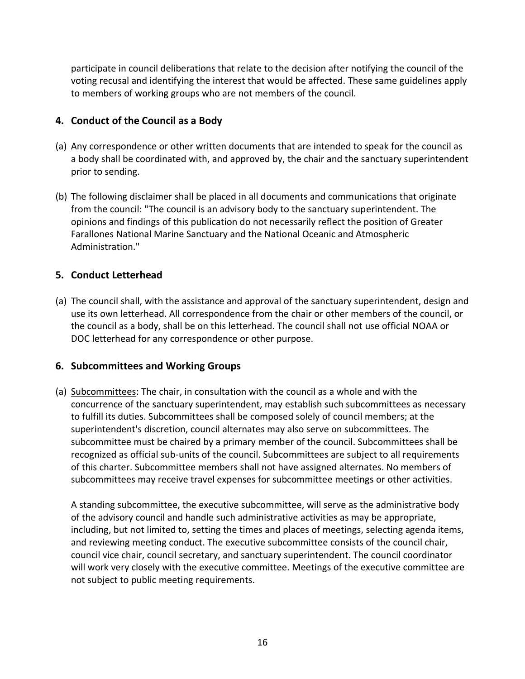participate in council deliberations that relate to the decision after notifying the council of the voting recusal and identifying the interest that would be affected. These same guidelines apply to members of working groups who are not members of the council.

### <span id="page-15-0"></span>**4. Conduct of the Council as a Body**

- (a) Any correspondence or other written documents that are intended to speak for the council as a body shall be coordinated with, and approved by, the chair and the sanctuary superintendent prior to sending.
- (b) The following disclaimer shall be placed in all documents and communications that originate from the council: "The council is an advisory body to the sanctuary superintendent. The opinions and findings of this publication do not necessarily reflect the position of Greater Farallones National Marine Sanctuary and the National Oceanic and Atmospheric Administration."

### <span id="page-15-1"></span>**5. Conduct Letterhead**

(a) The council shall, with the assistance and approval of the sanctuary superintendent, design and use its own letterhead. All correspondence from the chair or other members of the council, or the council as a body, shall be on this letterhead. The council shall not use official NOAA or DOC letterhead for any correspondence or other purpose.

#### <span id="page-15-2"></span>**6. Subcommittees and Working Groups**

(a) Subcommittees: The chair, in consultation with the council as a whole and with the concurrence of the sanctuary superintendent, may establish such subcommittees as necessary to fulfill its duties. Subcommittees shall be composed solely of council members; at the superintendent's discretion, council alternates may also serve on subcommittees. The subcommittee must be chaired by a primary member of the council. Subcommittees shall be recognized as official sub-units of the council. Subcommittees are subject to all requirements of this charter. Subcommittee members shall not have assigned alternates. No members of subcommittees may receive travel expenses for subcommittee meetings or other activities.

A standing subcommittee, the executive subcommittee, will serve as the administrative body of the advisory council and handle such administrative activities as may be appropriate, including, but not limited to, setting the times and places of meetings, selecting agenda items, and reviewing meeting conduct. The executive subcommittee consists of the council chair, council vice chair, council secretary, and sanctuary superintendent. The council coordinator will work very closely with the executive committee. Meetings of the executive committee are not subject to public meeting requirements.